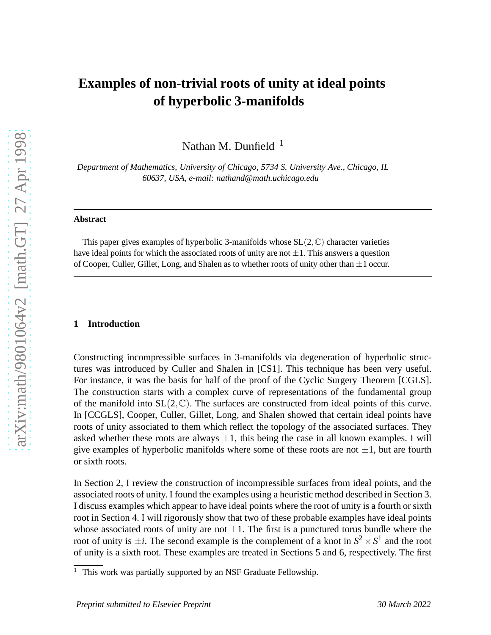# **Examples of non-trivial roots of unity at ideal points of hyperbolic 3-manifolds**

Nathan M. Dunfield  $1$ 

*Department of Mathematics, University of Chicago, 5734 S. University Ave., Chicago, IL 60637, USA, e-mail: nathand@math.uchicago.edu*

#### **Abstract**

This paper gives examples of hyperbolic 3-manifolds whose  $SL(2,\mathbb{C})$  character varieties have ideal points for which the associated roots of unity are not  $\pm 1$ . This answers a question of Cooper, Culler, Gillet, Long, and Shalen as to whether roots of unity other than  $\pm 1$  occur.

#### **1 Introduction**

Constructing incompressible surfaces in 3-manifolds via degeneration of hyperbolic structures was introduced by Culler and Shalen in [CS1]. This technique has been very useful. For instance, it was the basis for half of the proof of the Cyclic Surgery Theorem [CGLS]. The construction starts with a complex curve of representations of the fundamental group of the manifold into  $SL(2,\mathbb{C})$ . The surfaces are constructed from ideal points of this curve. In [CCGLS], Cooper, Culler, Gillet, Long, and Shalen showed that certain ideal points have roots of unity associated to them which reflect the topology of the associated surfaces. They asked whether these roots are always  $\pm 1$ , this being the case in all known examples. I will give examples of hyperbolic manifolds where some of these roots are not  $\pm 1$ , but are fourth or sixth roots.

In Section 2, I review the construction of incompressible surfaces from ideal points, and the associated roots of unity. I found the examples using a heuristic method described in Section 3. I discuss examples which appear to have ideal points where the root of unity is a fourth or sixth root in Section 4. I will rigorously show that two of these probable examples have ideal points whose associated roots of unity are not  $\pm 1$ . The first is a punctured torus bundle where the root of unity is  $\pm i$ . The second example is the complement of a knot in  $S^2 \times S^1$  and the root of unity is a sixth root. These examples are treated in Sections 5 and 6, respectively. The first

arXiv:math/9801064v2 [math.GT] 27 Apr 1998

<sup>&</sup>lt;sup>1</sup> This work was partially supported by an NSF Graduate Fellowship.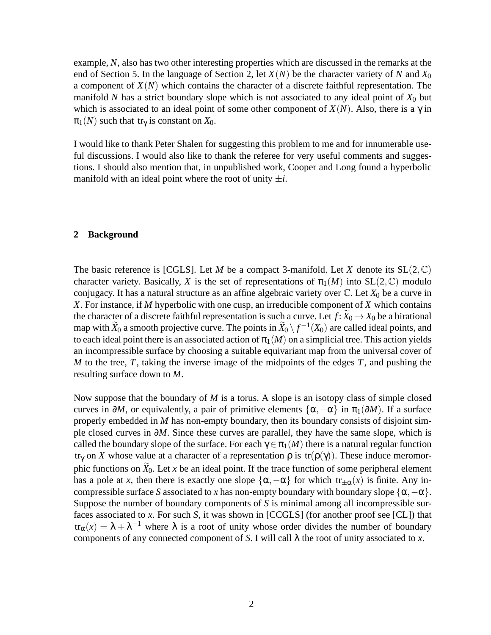example, *N*, also has two other interesting properties which are discussed in the remarks at the end of Section 5. In the language of Section 2, let *X*(*N*) be the character variety of *N* and *X*<sup>0</sup> a component of  $X(N)$  which contains the character of a discrete faithful representation. The manifold *N* has a strict boundary slope which is not associated to any ideal point of  $X_0$  but which is associated to an ideal point of some other component of  $X(N)$ . Also, there is a  $\gamma$  in  $\pi_1(N)$  such that tr<sub>γ</sub> is constant on  $X_0$ .

I would like to thank Peter Shalen for suggesting this problem to me and for innumerable useful discussions. I would also like to thank the referee for very useful comments and suggestions. I should also mention that, in unpublished work, Cooper and Long found a hyperbolic manifold with an ideal point where the root of unity  $\pm i$ .

# **2 Background**

The basic reference is [CGLS]. Let *M* be a compact 3-manifold. Let *X* denote its  $SL(2,\mathbb{C})$ character variety. Basically, *X* is the set of representations of  $\pi_1(M)$  into  $SL(2,\mathbb{C})$  modulo conjugacy. It has a natural structure as an affine algebraic variety over  $\mathbb{C}$ . Let  $X_0$  be a curve in *X*. For instance, if *M* hyperbolic with one cusp, an irreducible component of *X* which contains the character of a discrete faithful representation is such a curve. Let  $f: X_0 \to X_0$  be a birational map with  $\widetilde{X}_0$  a smooth projective curve. The points in  $\widetilde{X}_0 \setminus f^{-1}(X_0)$  are called ideal points, and to each ideal point there is an associated action of  $\pi_1(M)$  on a simplicial tree. This action yields an incompressible surface by choosing a suitable equivariant map from the universal cover of *M* to the tree, *T*, taking the inverse image of the midpoints of the edges *T*, and pushing the resulting surface down to *M*.

Now suppose that the boundary of *M* is a torus. A slope is an isotopy class of simple closed curves in  $\partial M$ , or equivalently, a pair of primitive elements  $\{\alpha, -\alpha\}$  in  $\pi_1(\partial M)$ . If a surface properly embedded in *M* has non-empty boundary, then its boundary consists of disjoint simple closed curves in ∂*M*. Since these curves are parallel, they have the same slope, which is called the boundary slope of the surface. For each  $\gamma \in \pi_1(M)$  there is a natural regular function tr<sub>γ</sub> on *X* whose value at a character of a representation  $ρ$  is  $tr(ρ(γ))$ . These induce meromorphic functions on  $\widetilde{X}_0$ . Let *x* be an ideal point. If the trace function of some peripheral element has a pole at *x*, then there is exactly one slope  $\{\alpha, -\alpha\}$  for which  $tr_{\pm\alpha}(x)$  is finite. Any incompressible surface *S* associated to *x* has non-empty boundary with boundary slope  $\{\alpha, -\alpha\}$ . Suppose the number of boundary components of *S* is minimal among all incompressible surfaces associated to *x*. For such *S*, it was shown in [CCGLS] (for another proof see [CL]) that  $tr_\alpha(x) = \lambda + \lambda^{-1}$  where  $\lambda$  is a root of unity whose order divides the number of boundary components of any connected component of *S*. I will call λ the root of unity associated to *x*.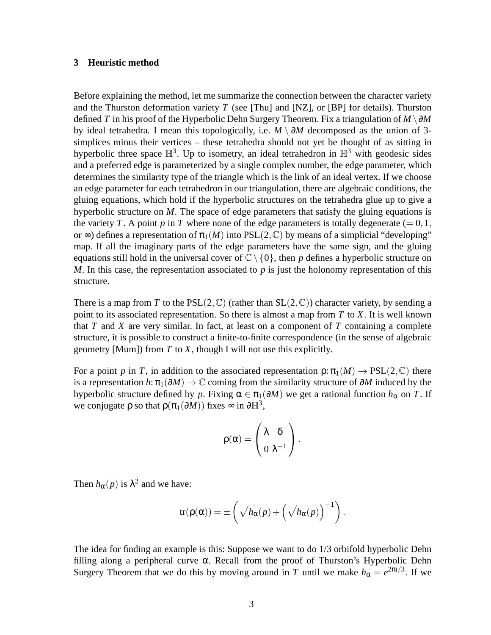### **3 Heuristic method**

Before explaining the method, let me summarize the connection between the character variety and the Thurston deformation variety *T* (see [Thu] and [NZ], or [BP] for details). Thurston defined *T* in his proof of the Hyperbolic Dehn Surgery Theorem. Fix a triangulation of  $M \setminus \partial M$ by ideal tetrahedra. I mean this topologically, i.e. *M* \ ∂*M* decomposed as the union of 3 simplices minus their vertices – these tetrahedra should not yet be thought of as sitting in hyperbolic three space  $\mathbb{H}^3$ . Up to isometry, an ideal tetrahedron in  $\mathbb{H}^3$  with geodesic sides and a preferred edge is parameterized by a single complex number, the edge parameter, which determines the similarity type of the triangle which is the link of an ideal vertex. If we choose an edge parameter for each tetrahedron in our triangulation, there are algebraic conditions, the gluing equations, which hold if the hyperbolic structures on the tetrahedra glue up to give a hyperbolic structure on *M*. The space of edge parameters that satisfy the gluing equations is the variety *T*. A point *p* in *T* where none of the edge parameters is totally degenerate  $(= 0, 1, 1)$ or  $\infty$ ) defines a representation of  $\pi_1(M)$  into PSL(2, C) by means of a simplicial "developing" map. If all the imaginary parts of the edge parameters have the same sign, and the gluing equations still hold in the universal cover of  $\mathbb{C}\setminus\{0\}$ , then *p* defines a hyperbolic structure on *M*. In this case, the representation associated to *p* is just the holonomy representation of this structure.

There is a map from *T* to the PSL(2,  $\mathbb{C}$ ) (rather than SL(2,  $\mathbb{C}$ )) character variety, by sending a point to its associated representation. So there is almost a map from *T* to *X*. It is well known that  $T$  and  $X$  are very similar. In fact, at least on a component of  $T$  containing a complete structure, it is possible to construct a finite-to-finite correspondence (in the sense of algebraic geometry [Mum]) from *T* to *X*, though I will not use this explicitly.

For a point *p* in *T*, in addition to the associated representation  $\rho: \pi_1(M) \to \text{PSL}(2,\mathbb{C})$  there is a representation  $h: \pi_1(\partial M) \to \mathbb{C}$  coming from the similarity structure of  $\partial M$  induced by the hyperbolic structure defined by *p*. Fixing  $\alpha \in \pi_1(\partial M)$  we get a rational function  $h_\alpha$  on *T*. If we conjugate  $\rho$  so that  $\rho(\pi_1(\partial M))$  fixes  $\infty$  in  $\partial \mathbb{H}^3$ ,

$$
\rho(\alpha)=\left(\begin{matrix}\lambda&\delta\\0&\lambda^{-1}\end{matrix}\right).
$$

Then  $h_{\alpha}(p)$  is  $\lambda^2$  and we have:

$$
tr(\rho(\alpha)) = \pm \left( \sqrt{h_{\alpha}(p)} + \left( \sqrt{h_{\alpha}(p)} \right)^{-1} \right).
$$

The idea for finding an example is this: Suppose we want to do 1/3 orbifold hyperbolic Dehn filling along a peripheral curve  $\alpha$ . Recall from the proof of Thurston's Hyperbolic Dehn Surgery Theorem that we do this by moving around in *T* until we make  $h_{\alpha} = e^{2\pi i/3}$ . If we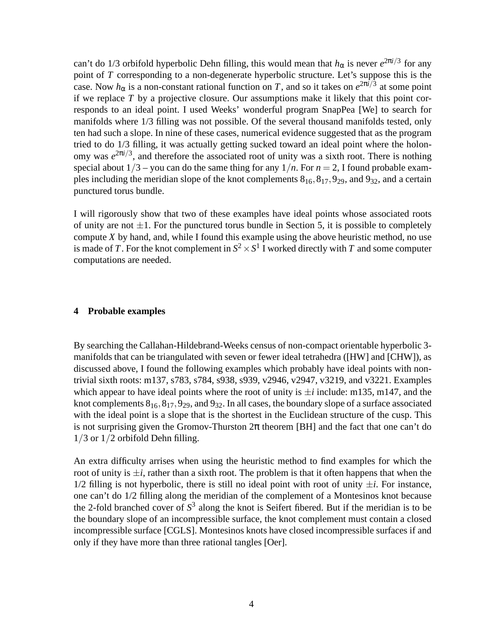can't do 1/3 orbifold hyperbolic Dehn filling, this would mean that  $h_{\alpha}$  is never  $e^{2\pi i/3}$  for any point of *T* corresponding to a non-degenerate hyperbolic structure. Let's suppose this is the case. Now  $h_{\alpha}$  is a non-constant rational function on *T*, and so it takes on  $e^{2\pi i/3}$  at some point if we replace *T* by a projective closure. Our assumptions make it likely that this point corresponds to an ideal point. I used Weeks' wonderful program SnapPea [We] to search for manifolds where 1/3 filling was not possible. Of the several thousand manifolds tested, only ten had such a slope. In nine of these cases, numerical evidence suggested that as the program tried to do 1/3 filling, it was actually getting sucked toward an ideal point where the holonomy was  $e^{2\pi i/3}$ , and therefore the associated root of unity was a sixth root. There is nothing special about  $1/3$  – you can do the same thing for any  $1/n$ . For  $n = 2$ , I found probable examples including the meridian slope of the knot complements  $8_{16}$ ,  $8_{17}$ ,  $9_{29}$ , and  $9_{32}$ , and a certain punctured torus bundle.

I will rigorously show that two of these examples have ideal points whose associated roots of unity are not  $\pm 1$ . For the punctured torus bundle in Section 5, it is possible to completely compute *X* by hand, and, while I found this example using the above heuristic method, no use is made of *T*. For the knot complement in  $S^2 \times S^1$  I worked directly with *T* and some computer computations are needed.

# **4 Probable examples**

By searching the Callahan-Hildebrand-Weeks census of non-compact orientable hyperbolic 3 manifolds that can be triangulated with seven or fewer ideal tetrahedra ([HW] and [CHW]), as discussed above, I found the following examples which probably have ideal points with nontrivial sixth roots: m137, s783, s784, s938, s939, v2946, v2947, v3219, and v3221. Examples which appear to have ideal points where the root of unity is  $\pm i$  include: m135, m147, and the knot complements  $8_{16}$ ,  $8_{17}$ ,  $9_{29}$ , and  $9_{32}$ . In all cases, the boundary slope of a surface associated with the ideal point is a slope that is the shortest in the Euclidean structure of the cusp. This is not surprising given the Gromov-Thurston  $2\pi$  theorem [BH] and the fact that one can't do 1/3 or 1/2 orbifold Dehn filling.

An extra difficulty arrises when using the heuristic method to find examples for which the root of unity is  $\pm i$ , rather than a sixth root. The problem is that it often happens that when the  $1/2$  filling is not hyperbolic, there is still no ideal point with root of unity  $\pm i$ . For instance, one can't do 1/2 filling along the meridian of the complement of a Montesinos knot because the 2-fold branched cover of *S* 3 along the knot is Seifert fibered. But if the meridian is to be the boundary slope of an incompressible surface, the knot complement must contain a closed incompressible surface [CGLS]. Montesinos knots have closed incompressible surfaces if and only if they have more than three rational tangles [Oer].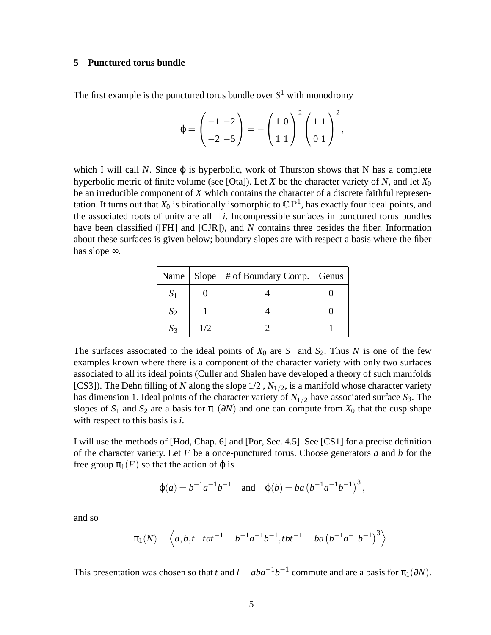# **5 Punctured torus bundle**

The first example is the punctured torus bundle over  $S<sup>1</sup>$  with monodromy

$$
\varphi = \left(\begin{array}{c} -1 & -2 \\ -2 & -5 \end{array}\right) = -\left(\begin{array}{c} 1 & 0 \\ 1 & 1 \end{array}\right)^2 \left(\begin{array}{c} 1 & 1 \\ 0 & 1 \end{array}\right)^2,
$$

which I will call *N*. Since  $\varphi$  is hyperbolic, work of Thurston shows that N has a complete hyperbolic metric of finite volume (see [Ota]). Let *X* be the character variety of *N*, and let  $X_0$ be an irreducible component of *X* which contains the character of a discrete faithful representation. It turns out that  $X_0$  is birationally isomorphic to  $\mathbb{C}\,\mathrm{P}^1$ , has exactly four ideal points, and the associated roots of unity are all  $\pm i$ . Incompressible surfaces in punctured torus bundles have been classified ([FH] and [CJR]), and *N* contains three besides the fiber. Information about these surfaces is given below; boundary slopes are with respect a basis where the fiber has slope ∞.

|       |     | Name   Slope   # of Boundary Comp.   Genus |  |
|-------|-----|--------------------------------------------|--|
|       |     |                                            |  |
| $S_2$ |     |                                            |  |
|       | 1/2 |                                            |  |

The surfaces associated to the ideal points of  $X_0$  are  $S_1$  and  $S_2$ . Thus N is one of the few examples known where there is a component of the character variety with only two surfaces associated to all its ideal points (Culler and Shalen have developed a theory of such manifolds [CS3]). The Dehn filling of *N* along the slope  $1/2$ ,  $N_{1/2}$ , is a manifold whose character variety has dimension 1. Ideal points of the character variety of  $N_{1/2}$  have associated surface  $S_3$ . The slopes of  $S_1$  and  $S_2$  are a basis for  $\pi_1(\partial N)$  and one can compute from  $X_0$  that the cusp shape with respect to this basis is *i*.

I will use the methods of [Hod, Chap. 6] and [Por, Sec. 4.5]. See [CS1] for a precise definition of the character variety. Let *F* be a once-punctured torus. Choose generators *a* and *b* for the free group  $\pi_1(F)$  so that the action of  $\varphi$  is

$$
\varphi(a) = b^{-1}a^{-1}b^{-1}
$$
 and  $\varphi(b) = ba(b^{-1}a^{-1}b^{-1})^3$ ,

and so

$$
\pi_1(N) = \left\langle a, b, t \mid tat^{-1} = b^{-1}a^{-1}b^{-1}, tbt^{-1} = ba(b^{-1}a^{-1}b^{-1})^3 \right\rangle.
$$

This presentation was chosen so that *t* and  $l = aba^{-1}b^{-1}$  commute and are a basis for  $\pi_1(\partial N)$ .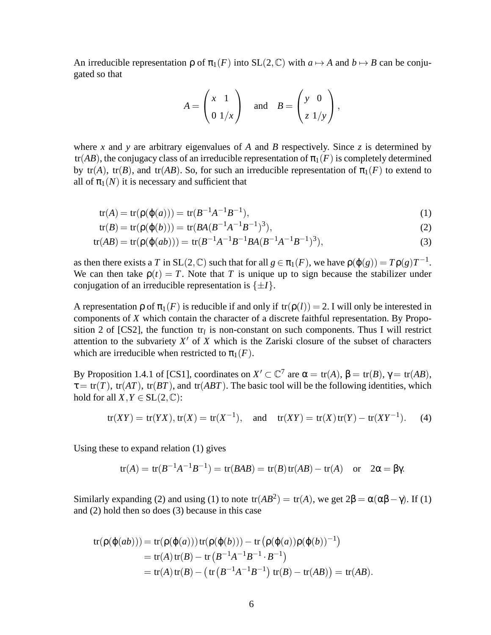An irreducible representation  $\rho$  of  $\pi_1(F)$  into  $SL(2,\mathbb{C})$  with  $a \mapsto A$  and  $b \mapsto B$  can be conjugated so that

$$
A = \begin{pmatrix} x & 1 \\ 0 & 1/x \end{pmatrix} \quad \text{and} \quad B = \begin{pmatrix} y & 0 \\ z & 1/y \end{pmatrix},
$$

where *x* and *y* are arbitrary eigenvalues of *A* and *B* respectively. Since *z* is determined by tr(*AB*), the conjugacy class of an irreducible representation of  $\pi_1(F)$  is completely determined by tr(*A*), tr(*B*), and tr(*AB*). So, for such an irreducible representation of  $\pi_1(F)$  to extend to all of  $\pi_1(N)$  it is necessary and sufficient that

$$
tr(A) = tr(\rho(\varphi(a))) = tr(B^{-1}A^{-1}B^{-1}),
$$
\n(1)

$$
tr(B) = tr(\rho(\phi(b))) = tr(BA(B^{-1}A^{-1}B^{-1})^3),
$$
\n(2)

$$
tr(AB) = tr(\rho(\phi(ab))) = tr(B^{-1}A^{-1}B^{-1}BA(B^{-1}A^{-1}B^{-1})^3),
$$
\n(3)

as then there exists a *T* in SL(2,  $\mathbb{C}$ ) such that for all  $g \in \pi_1(F)$ , we have  $\rho(\varphi(g)) = T\rho(g)T^{-1}$ . We can then take  $\rho(t) = T$ . Note that *T* is unique up to sign because the stabilizer under conjugation of an irreducible representation is  $\{\pm I\}$ .

A representation  $\rho$  of  $\pi_1(F)$  is reducible if and only if  $tr(\rho(l)) = 2$ . I will only be interested in components of *X* which contain the character of a discrete faithful representation. By Proposition 2 of [CS2], the function  $tr_l$  is non-constant on such components. Thus I will restrict attention to the subvariety *X* ′ of *X* which is the Zariski closure of the subset of characters which are irreducible when restricted to  $\pi_1(F)$ .

By Proposition 1.4.1 of [CS1], coordinates on  $X' \subset \mathbb{C}^7$  are  $\alpha = \text{tr}(A)$ ,  $\beta = \text{tr}(B)$ ,  $\gamma = \text{tr}(AB)$ ,  $\tau = \text{tr}(T)$ ,  $\text{tr}(AT)$ ,  $\text{tr}(BT)$ , and  $\text{tr}(ABT)$ . The basic tool will be the following identities, which hold for all  $X, Y \in SL(2, \mathbb{C})$ :

$$
tr(XY) = tr(YX), tr(X) = tr(X^{-1}),
$$
 and  $tr(XY) = tr(X) tr(Y) - tr(XY^{-1}).$  (4)

Using these to expand relation (1) gives

$$
tr(A) = tr(B^{-1}A^{-1}B^{-1}) = tr(BAB) = tr(B)tr(AB) - tr(A)
$$
 or  $2\alpha = \beta\gamma$ .

Similarly expanding (2) and using (1) to note  $tr(AB^2) = tr(A)$ , we get  $2\beta = \alpha(\alpha\beta - \gamma)$ . If (1) and (2) hold then so does (3) because in this case

$$
tr(\rho(\varphi(ab))) = tr(\rho(\varphi(a))) tr(\rho(\varphi(b))) - tr(\rho(\varphi(a))\rho(\varphi(b))^{-1})
$$
  
= tr(A) tr(B) – tr(B<sup>-1</sup>A<sup>-1</sup>B<sup>-1</sup> · B<sup>-1</sup>)  
= tr(A) tr(B) – (tr(B<sup>-1</sup>A<sup>-1</sup>B<sup>-1</sup>) tr(B) – tr(AB)) = tr(AB).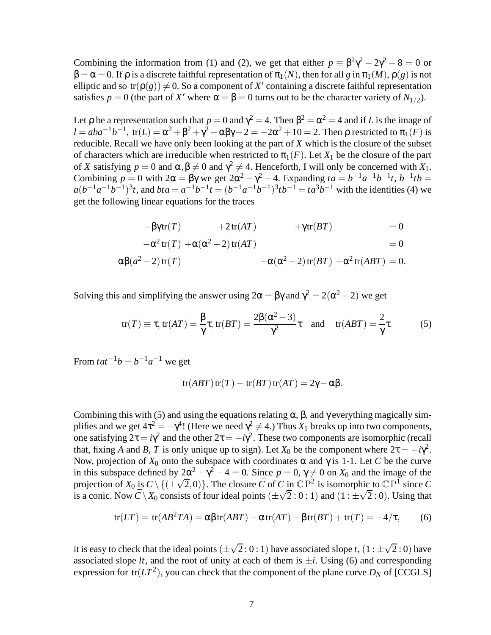Combining the information from (1) and (2), we get that either  $p = \beta^2 \gamma^2 - 2\gamma^2 - 8 = 0$  or  $β = α = 0$ . If  $ρ$  is a discrete faithful representation of  $π_1(N)$ , then for all *g* in  $π_1(M)$ ,  $ρ(g)$  is not elliptic and so  $tr(\rho(g)) \neq 0$ . So a component of *X'* containing a discrete faithful representation satisfies  $p = 0$  (the part of X' where  $\alpha = \beta = 0$  turns out to be the character variety of  $N_{1/2}$ ).

Let  $\rho$  be a representation such that  $p = 0$  and  $\gamma^2 = 4$ . Then  $\beta^2 = \alpha^2 = 4$  and if *L* is the image of *l* = *aba*<sup>-1</sup>*b*<sup>-1</sup>, tr(*L*) = α<sup>2</sup> + β<sup>2</sup> + γ<sup>2</sup> − αβγ − 2 = −2α<sup>2</sup> + 10 = 2. Then ρ restricted to π<sub>1</sub>(*F*) is reducible. Recall we have only been looking at the part of *X* which is the closure of the subset of characters which are irreducible when restricted to  $\pi_1(F)$ . Let  $X_1$  be the closure of the part of *X* satisfying  $p = 0$  and  $\alpha, \beta \neq 0$  and  $\gamma^2 \neq 4$ . Henceforth, I will only be concerned with  $X_1$ . Combining  $p = 0$  with  $2α = βγ$  we get  $2α^2 - γ^2 - 4$ . Expanding  $ta = b^{-1}a^{-1}b^{-1}t$ ,  $b^{-1}tb =$  $a(b^{-1}a^{-1}b^{-1})^3t$ , and  $bta = a^{-1}b^{-1}t = (b^{-1}a^{-1}b^{-1})^3tb^{-1} = ta^3b^{-1}$  with the identities (4) we get the following linear equations for the traces

$$
-\beta \gamma \text{tr}(T) + 2 \text{tr}(AT) + \gamma \text{tr}(BT) = 0
$$
  

$$
-\alpha^2 \text{tr}(T) + \alpha(\alpha^2 - 2) \text{tr}(AT) = 0
$$

$$
-\alpha^2 \operatorname{tr}(T) + \alpha(\alpha^2 - 2) \operatorname{tr}(AT) = 0
$$

$$
\alpha\beta(a^2-2)\operatorname{tr}(T) \qquad \qquad -\alpha(\alpha^2-2)\operatorname{tr}(BT) \ -\alpha^2\operatorname{tr}(ABT) = 0.
$$

Solving this and simplifying the answer using  $2\alpha = \beta\gamma$  and  $\gamma^2 = 2(\alpha^2 - 2)$  we get

$$
tr(T) \equiv \tau, tr(AT) = \frac{\beta}{\gamma}\tau, tr(BT) = \frac{2\beta(\alpha^2 - 3)}{\gamma^2}\tau \text{ and } tr(ABT) = \frac{2}{\gamma}\tau.
$$
 (5)

From  $tat^{-1}b = b^{-1}a^{-1}$  we get

$$
tr(ABT) tr(T) - tr(BT) tr(AT) = 2\gamma - \alpha \beta.
$$

Combining this with (5) and using the equations relating  $\alpha$ ,  $\beta$ , and  $\gamma$  everything magically simplifies and we get  $4\tau^2 = -\gamma^4$ ! (Here we need  $\gamma^2 \neq 4$ .) Thus  $X_1$  breaks up into two components, one satisfying  $2\tau = i\gamma^2$  and the other  $2\tau = -i\gamma^2$ . These two components are isomorphic (recall that, fixing *A* and *B*, *T* is only unique up to sign). Let  $X_0$  be the component where  $2\tau = -i\gamma^2$ . Now, projection of  $X_0$  onto the subspace with coordinates α and γ is 1-1. Let *C* be the curve in this subspace defined by  $2\alpha^2 - \gamma^2 - 4 = 0$ . Since  $p = 0, \gamma \neq 0$  on  $X_0$  and the image of the projection of  $X_0$  is  $C \setminus \{(\pm \sqrt{2}, 0)\}\)$ . The closure  $\overline{C}$  of  $C$  in  $\mathbb{CP}^2$  is isomorphic to  $\mathbb{CP}^1$  since  $C$ is a conic. Now  $\overline{C} \setminus X_0$  consists of four ideal points  $(\pm \sqrt{2}:0:1)$  and  $(1:\pm \sqrt{2}:0)$ . Using that

$$
tr(LT) = tr(AB2TA) = \alpha\beta tr(ABT) - \alpha tr(AT) - \beta tr(BT) + tr(T) = -4/\tau,
$$
 (6)

it is easy to check that the ideal points  $(\pm \sqrt{2} : 0 : 1)$  have associated slope *t*,  $(1 : \pm \sqrt{2} : 0)$  have associated slope  $lt$ , and the root of unity at each of them is  $\pm i$ . Using (6) and corresponding expression for  $tr(LT^2)$ , you can check that the component of the plane curve  $D_N$  of [CCGLS]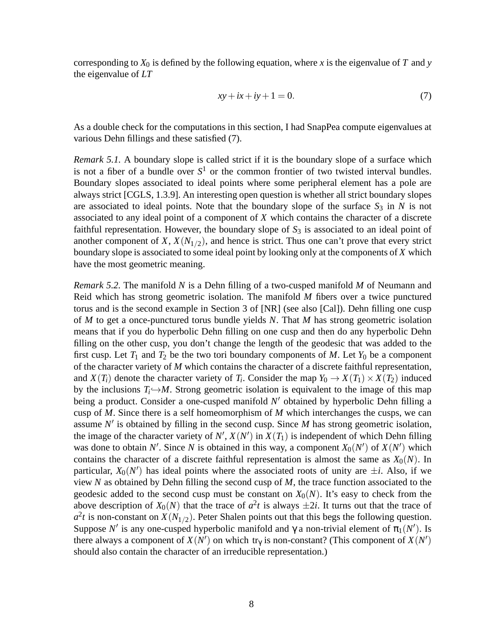corresponding to  $X_0$  is defined by the following equation, where x is the eigenvalue of T and  $y$ the eigenvalue of *LT*

$$
xy + ix + iy + 1 = 0.\t\t(7)
$$

As a double check for the computations in this section, I had SnapPea compute eigenvalues at various Dehn fillings and these satisfied (7).

*Remark 5.1.* A boundary slope is called strict if it is the boundary slope of a surface which is not a fiber of a bundle over  $S^1$  or the common frontier of two twisted interval bundles. Boundary slopes associated to ideal points where some peripheral element has a pole are always strict [CGLS, 1.3.9]. An interesting open question is whether all strict boundary slopes are associated to ideal points. Note that the boundary slope of the surface  $S_3$  in  $N$  is not associated to any ideal point of a component of *X* which contains the character of a discrete faithful representation. However, the boundary slope of  $S_3$  is associated to an ideal point of another component of  $X$ ,  $X(N_{1/2})$ , and hence is strict. Thus one can't prove that every strict boundary slope is associated to some ideal point by looking only at the components of *X* which have the most geometric meaning.

*Remark 5.2.* The manifold *N* is a Dehn filling of a two-cusped manifold *M* of Neumann and Reid which has strong geometric isolation. The manifold *M* fibers over a twice punctured torus and is the second example in Section 3 of [NR] (see also [Cal]). Dehn filling one cusp of *M* to get a once-punctured torus bundle yields *N*. That *M* has strong geometric isolation means that if you do hyperbolic Dehn filling on one cusp and then do any hyperbolic Dehn filling on the other cusp, you don't change the length of the geodesic that was added to the first cusp. Let  $T_1$  and  $T_2$  be the two tori boundary components of *M*. Let  $Y_0$  be a component of the character variety of *M* which contains the character of a discrete faithful representation, and  $X(T_i)$  denote the character variety of  $T_i$ . Consider the map  $Y_0 \to X(T_1) \times X(T_2)$  induced by the inclusions  $T_i \rightarrow M$ . Strong geometric isolation is equivalent to the image of this map being a product. Consider a one-cusped manifold *N* ′ obtained by hyperbolic Dehn filling a cusp of *M*. Since there is a self homeomorphism of *M* which interchanges the cusps, we can assume *N* ′ is obtained by filling in the second cusp. Since *M* has strong geometric isolation, the image of the character variety of  $N'$ ,  $X(N')$  in  $X(T_1)$  is independent of which Dehn filling was done to obtain N'. Since N is obtained in this way, a component  $X_0(N')$  of  $X(N')$  which contains the character of a discrete faithful representation is almost the same as  $X_0(N)$ . In particular,  $X_0(N')$  has ideal points where the associated roots of unity are  $\pm i$ . Also, if we view *N* as obtained by Dehn filling the second cusp of *M*, the trace function associated to the geodesic added to the second cusp must be constant on  $X_0(N)$ . It's easy to check from the above description of  $X_0(N)$  that the trace of  $a^2t$  is always  $\pm 2i$ . It turns out that the trace of  $a^2t$  is non-constant on  $X(N_{1/2})$ . Peter Shalen points out that this begs the following question. Suppose *N'* is any one-cusped hyperbolic manifold and  $\gamma$  a non-trivial element of  $\pi_1(N')$ . Is there always a component of  $X(N')$  on which tr<sub> $\gamma$ </sub> is non-constant? (This component of  $X(N')$ ) should also contain the character of an irreducible representation.)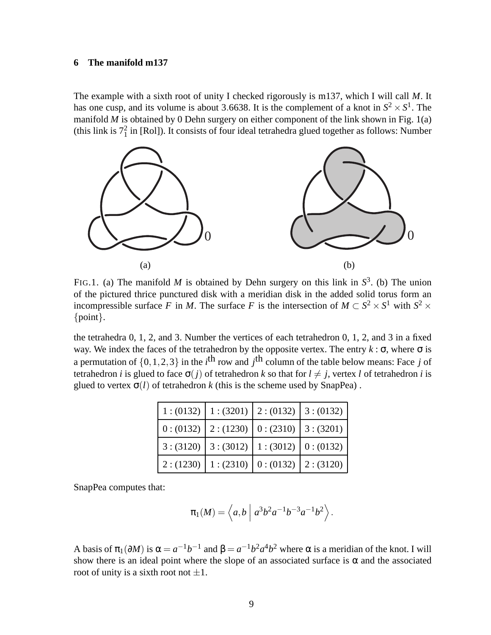# **6 The manifold m137**

The example with a sixth root of unity I checked rigorously is m137, which I will call *M*. It has one cusp, and its volume is about 3.6638. It is the complement of a knot in  $S^2 \times S^1$ . The manifold  $M$  is obtained by 0 Dehn surgery on either component of the link shown in Fig. 1(a) (this link is  $7<sub>1</sub><sup>2</sup>$  in [Rol]). It consists of four ideal tetrahedra glued together as follows: Number



FIG.1. (a) The manifold *M* is obtained by Dehn surgery on this link in  $S^3$ . (b) The union of the pictured thrice punctured disk with a meridian disk in the added solid torus form an incompressible surface *F* in *M*. The surface *F* is the intersection of  $M \subset S^2 \times S^1$  with  $S^2 \times$ {point}.

the tetrahedra 0, 1, 2, and 3. Number the vertices of each tetrahedron 0, 1, 2, and 3 in a fixed way. We index the faces of the tetrahedron by the opposite vertex. The entry  $k : \sigma$ , where  $\sigma$  is a permutation of  $\{0, 1, 2, 3\}$  in the *i*<sup>th</sup> row and *j*<sup>th</sup> column of the table below means: Face *j* of tetrahedron *i* is glued to face  $\sigma(j)$  of tetrahedron *k* so that for  $l \neq j$ , vertex *l* of tetrahedron *i* is glued to vertex  $\sigma(l)$  of tetrahedron *k* (this is the scheme used by SnapPea).

|           | $1:(0132) \mid 1:(3201) \mid 2:(0132) \mid 3:(0132)$ |  |
|-----------|------------------------------------------------------|--|
|           | $0:(0132) \mid 2:(1230) \mid 0:(2310) \mid 3:(3201)$ |  |
|           | $3:(3120) \mid 3:(3012) \mid 1:(3012) \mid 0:(0132)$ |  |
| 2: (1230) | $1:(2310) \mid 0:(0132) \mid 2:(3120)$               |  |

SnapPea computes that:

$$
\pi_1(M) = \langle a, b \mid a^3 b^2 a^{-1} b^{-3} a^{-1} b^2 \rangle.
$$

A basis of  $\pi_1(\partial M)$  is  $\alpha = a^{-1}b^{-1}$  and  $\beta = a^{-1}b^2a^4b^2$  where  $\alpha$  is a meridian of the knot. I will show there is an ideal point where the slope of an associated surface is  $\alpha$  and the associated root of unity is a sixth root not  $\pm 1$ .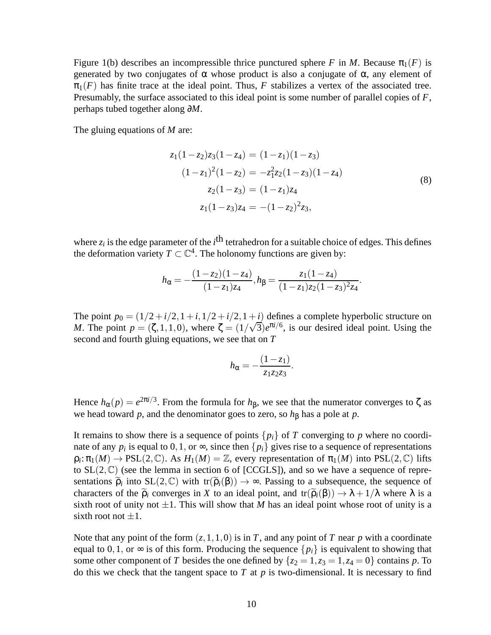Figure 1(b) describes an incompressible thrice punctured sphere *F* in *M*. Because  $\pi_1(F)$  is generated by two conjugates of  $\alpha$  whose product is also a conjugate of  $\alpha$ , any element of  $\pi_1(F)$  has finite trace at the ideal point. Thus, F stabilizes a vertex of the associated tree. Presumably, the surface associated to this ideal point is some number of parallel copies of *F*, perhaps tubed together along ∂*M*.

The gluing equations of *M* are:

$$
z_1(1-z_2)z_3(1-z_4) = (1-z_1)(1-z_3)
$$
  
\n
$$
(1-z_1)^2(1-z_2) = -z_1^2z_2(1-z_3)(1-z_4)
$$
  
\n
$$
z_2(1-z_3) = (1-z_1)z_4
$$
  
\n
$$
z_1(1-z_3)z_4 = -(1-z_2)^2z_3,
$$
\n(8)

where  $z_i$  is the edge parameter of the  $i^{\text{th}}$  tetrahedron for a suitable choice of edges. This defines the deformation variety  $T \subset \mathbb{C}^4$ . The holonomy functions are given by:

$$
h_{\alpha} = -\frac{(1-z_2)(1-z_4)}{(1-z_1)z_4}, h_{\beta} = \frac{z_1(1-z_4)}{(1-z_1)z_2(1-z_3)^2z_4}.
$$

The point  $p_0 = (1/2 + i/2, 1 + i, 1/2 + i/2, 1 + i)$  defines a complete hyperbolic structure on *M*. The point  $p = (\zeta, 1, 1, 0)$ , where  $\zeta = (1/\sqrt{3})e^{\pi i/6}$ , is our desired ideal point. Using the second and fourth gluing equations, we see that on *T*

$$
h_{\alpha}=-\frac{(1-z_1)}{z_1z_2z_3}.
$$

Hence  $h_{\alpha}(p) = e^{2\pi i/3}$ . From the formula for  $h_{\beta}$ , we see that the numerator converges to  $\zeta$  as we head toward  $p$ , and the denominator goes to zero, so  $h<sub>β</sub>$  has a pole at  $p$ .

It remains to show there is a sequence of points  $\{p_i\}$  of *T* converging to *p* where no coordinate of any  $p_i$  is equal to 0, 1, or  $\infty$ , since then  $\{p_i\}$  gives rise to a sequence of representations  $\rho_i: \pi_1(M) \to \text{PSL}(2,\mathbb{C})$ . As  $H_1(M) = \mathbb{Z}$ , every representation of  $\pi_1(M)$  into  $\text{PSL}(2,\mathbb{C})$  lifts to  $SL(2,\mathbb{C})$  (see the lemma in section 6 of [CCGLS]), and so we have a sequence of representations  $\tilde{\rho}_i$  into  $SL(2,\mathbb{C})$  with  $tr(\tilde{\rho}_i(\beta)) \to \infty$ . Passing to a subsequence, the sequence of characters of the  $\tilde{\rho}_i$  converges in *X* to an ideal point, and tr( $\tilde{\rho}_i(\beta)$ )  $\rightarrow \lambda + 1/\lambda$  where  $\lambda$  is a sixth root of unity not  $\pm 1$ . This will show that *M* has an ideal point whose root of unity is a sixth root not  $\pm 1$ .

Note that any point of the form  $(z,1,1,0)$  is in *T*, and any point of *T* near *p* with a coordinate equal to 0, 1, or  $\infty$  is of this form. Producing the sequence  $\{p_i\}$  is equivalent to showing that some other component of *T* besides the one defined by  ${z_2 = 1, z_3 = 1, z_4 = 0}$  contains *p*. To do this we check that the tangent space to *T* at *p* is two-dimensional. It is necessary to find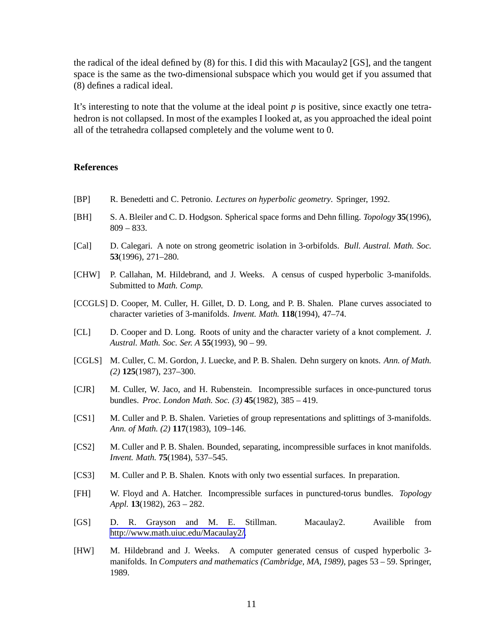the radical of the ideal defined by (8) for this. I did this with Macaulay2 [GS], and the tangent space is the same as the two-dimensional subspace which you would get if you assumed that (8) defines a radical ideal.

It's interesting to note that the volume at the ideal point *p* is positive, since exactly one tetrahedron is not collapsed. In most of the examples I looked at, as you approached the ideal point all of the tetrahedra collapsed completely and the volume went to 0.

# **References**

- [BP] R. Benedetti and C. Petronio. *Lectures on hyperbolic geometry*. Springer, 1992.
- [BH] S. A. Bleiler and C. D. Hodgson. Spherical space forms and Dehn filling. *Topology* **35**(1996), 809 – 833.
- [Cal] D. Calegari. A note on strong geometric isolation in 3-orbifolds. *Bull. Austral. Math. Soc.* **53**(1996), 271–280.
- [CHW] P. Callahan, M. Hildebrand, and J. Weeks. A census of cusped hyperbolic 3-manifolds. Submitted to *Math. Comp.*
- [CCGLS] D. Cooper, M. Culler, H. Gillet, D. D. Long, and P. B. Shalen. Plane curves associated to character varieties of 3-manifolds. *Invent. Math.* **118**(1994), 47–74.
- [CL] D. Cooper and D. Long. Roots of unity and the character variety of a knot complement. *J. Austral. Math. Soc. Ser. A* **55**(1993), 90 – 99.
- [CGLS] M. Culler, C. M. Gordon, J. Luecke, and P. B. Shalen. Dehn surgery on knots. *Ann. of Math. (2)* **125**(1987), 237–300.
- [CJR] M. Culler, W. Jaco, and H. Rubenstein. Incompressible surfaces in once-punctured torus bundles. *Proc. London Math. Soc. (3)* **45**(1982), 385 – 419.
- [CS1] M. Culler and P. B. Shalen. Varieties of group representations and splittings of 3-manifolds. *Ann. of Math. (2)* **117**(1983), 109–146.
- [CS2] M. Culler and P. B. Shalen. Bounded, separating, incompressible surfaces in knot manifolds. *Invent. Math.* **75**(1984), 537–545.
- [CS3] M. Culler and P. B. Shalen. Knots with only two essential surfaces. In preparation.
- [FH] W. Floyd and A. Hatcher. Incompressible surfaces in punctured-torus bundles. *Topology Appl.* **13**(1982), 263 – 282.
- [GS] D. R. Grayson and M. E. Stillman. Macaulay2. Availible from [http://www.math.uiuc.edu/Macaulay2/.](http://www.math.uiuc.edu/Macaulay2/)
- [HW] M. Hildebrand and J. Weeks. A computer generated census of cusped hyperbolic 3 manifolds. In *Computers and mathematics (Cambridge, MA, 1989)*, pages 53 – 59. Springer, 1989.